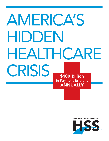# AMERICA'S HIDDEN HEALTHCARE CRISIS \$100 Billion in Payment Errors…

INDUSTRY RESEARCH CONDUCTED BY

**ANNUALLY** 

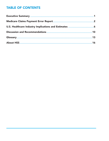# **TABLE OF CONTENTS**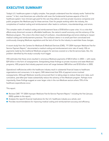# EXECUTIVE SUMMARY

Today's U.S. healthcare system is highly complex. Few people understand how the industry works "behind the scenes." In fact, most Americans are unfamiliar with even the fundamental business aspects of the U.S. healthcare system: how clinicians get paid for the care they deliver, and how private insurance companies and public programs like Medicare pay for these services. Even for people working within the industry, the complexities of medical coding and reimbursement often leads to confusion, misunderstandings, and errors.

This complex realm of medical coding and reimbursement faces a \$100-billion-a-year crisis. It is a crisis that affects every American's access to affordable healthcare, the nation's overall economy, and the solvency of the Medicare program. This crisis is the direct result of confusion, misunderstandings and errors relating to inexact medical coding and reimbursement practices. This confusion stems in no small part from convoluted and continuously changing Medicare regulations and the lack of time for the industry to assimilate those changes.

A recent study from the Centers for Medicare & Medicaid Services (CMS), "FY 2004 Improper Medicare Fee-for-Service Payment Report," documented a medical coding and reimbursement error rate of nearly 10% on payments made by the traditional Medicare program for services covered on a fee-for-service basis. But, the problem identified by this study is actually much bigger.

HSS estimates that these errors resulted in erroneous Medicare payments of \$30.4 billion in 2003 — with nearly \$29 billion in the form of overpayments. Extrapolating these findings to private insurance and state Medicaid programs, HSS projects that industry payment errors will range between \$88 billion and \$120 billion in 2005.

Operational inefficiencies within the healthcare industry result in substantial financial losses to healthcare organizations and consumers. In its report, CMS determined that 95% of payment errors involved overpayments. Although Medicare recently announced that it is taking steps to reduce these error rates, such cumulative, year-after-year losses substantially reduce the solvency of the Medicare program. Perhaps more importantly, these findings suggest an even larger crisis in the non-Medicare sectors where 75% of the healthcare expenditures occur.

This report:

- Reviews CMS' "FY 2004 Improper Medicare Fee-for-Service Payment Report," including the first (January 2005) update to the report;
- Analyzes the report's financial implications for the U.S. healthcare industry as a whole; and
- Provides recommendations for improving medical coding and reimbursement accuracy and efficiency.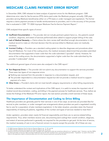# MEDICARE CLAIMS PAYMENT ERROR REPORT

In December 2004, CMS released its latest analysis of payment errors for the Medicare program. CMS determines error rates for fee-for-service (FFS) claims paid under the Medicare program annually. CMS pays providers serving Medicare beneficiaries either on a FFS basis or under managed care (capitation). The former requires a claims payment process to handle reimbursements to providers, and it is the accuracy of this process that is evaluated in CMS' "FY 2004 Improper Medicare Fee-for-Service Payment Report."

CMS analyzed three specific types of errors:<sup>1</sup>

- Insufficient Documentation The provider did not include pertinent patient facts (i.e., the patient's overall condition, diagnosis, and extent of services performed) when asked to support proper billing of the case.
- Lack of Medical Necessity Claims where the claim review staff identified enough documentation in the medical record to make an informed decision that the services billed to Medicare were not medically necessary.
- Incorrect Coding Providers use a standard coding system to describe diagnoses and procedures when they bill Medicare. For most of the coding errors, the medical reviewers determined that providers submitted documentation that supported a lower code than the code submitted ("upcoded" claims). However, for some of the coding errors, the documentation supported a higher code than the code submitted by the provider ("undercoded" claims).

Two additional general types of errors were also analyzed in the CMS report:<sup>2</sup>

- Non-Response Errors The provider did not submit any documentation to support the services provided. There were two types of non-response errors:
	- Nothing was received from the provider in response to a documentation request, and
	- The provider responded to a documentation request but did not provide a medical record to support payment of a claim.
- Other Errors Provider's claims did not meet benefit category requirements or other billing requirements.

To better understand the context and implications of the CMS report, it is useful to review the important role of medical record documentation, coding, and billing in the payment process for healthcare services. Thus, before we review the findings of the Medicare FFS error report, the next section provides a brief overview of these issues.

## The Importance of Documentation and Coding to Drive Billing

Healthcare providers are generally paid for their services in one of two ways: as services are provided (fee-forservice) to plan members, or under managed care arrangements where providers are paid a negotiated monthly fee to care for a population of plan members (capitation). In the latter situation, providers retain the financial responsibility of treating all patients, regardless of the number and types of services needed to treat them.<sup>3</sup>

Under capitation, providers retain nearly full financial responsibility and there are no service-related billing requirements. Thus, when members receive care, documenting (and coding) their overall condition, diagnosis, and extent of services performed is generally not required for the providers to get paid. At the time of service, the medical necessity of care is not a financial concern to anyone except the provider. All of these are very

<sup>1</sup> FY 2004 Improper Medicare Fee-For-Service Payment Report, pp. 17, 22, and 24.

<sup>2</sup> FY 2004 Improper Medicare Fee-For-Service Payment Report, pp. 20 and 26.

<sup>3</sup> Insurance premiums received by HMOs and other managed care organizations also are sometimes referred to as "capitation rates." However, very few HMOs<br>are direct providers of services. Most purchase healthcare services fo refers to the payments made to those providers and not to the insurance premiums received by the plan.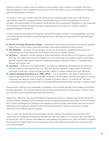important concerns, however, when the quality of care provided to plan members is evaluated. And from a financial perspective, the completeness and accuracy of this information is crucial to establishing fair capitation rates and adjustments in the future.

The world is much more complex under FFS reimbursement. Because payers retain most of the financial responsibility under FFS arrangements, they understandably require much more justification for services provided, and documentation of the patients' needs and the services performed. Depending on the complexity of the payment methods, the payer will require varying degrees of accurate and complete coding for appropriate payment calculations.

It is the variety and complexity of FFS payment methods that creates confusion, misunderstandings, and errors in the billing process and leads to significant payment errors. Generally, FFS approaches include (individually and combined):

- Percent-of-Charge (Discounted Charge) Methods that generally pay providers as services are rendered, without limits on the number of services provided or the intensity (expense) of those services.
- Fee Schedules Eliminate pricing discretion on the part of providers by establishing fixed prices for individual services. They also provide few financial incentives to constrain utilization.
- Per-Diems Represent a simple strategy to share responsibility with providers by limiting what is paid for each day. This creates the incentive for hospitals to control daily costs and utilization. Payers and providers typically negotiate daily payment rates for hospital stays based on the type of stay, i.e., medical/surgical, delivery and intensive care.
- Case Rates Shift even more responsibility to providers by establishing a bundled payment rate for all services needed to treat specific cases (e.g., labor and delivery, outpatient surgery cases). The obvious advantage of case rates is they encourage providers' ability to manage utilization and costs efficiently.
- Casemix-Adjusted Case Rates (e.g., DRGs, APCs) Can be applied to most types of admissions and visits and generally achieve the most equitable distribution of risk between providers and payers. In contrast, unadjusted case rates are usually limited to a handful of situations where a "one-size fits all" rate fairly compensates providers (case types with clinically well-defined patients and little variability in medical needs).

These payment methods vary considerably in complexity, and a provider typically must manage a combination of these approaches. This is complicated by the fact that providers deal with multiple payers, of which no two have the same array of payment approaches and schedules.

Despite their differences, the various FFS payment approaches do have a consistent requirement that patient care be medically necessary, and that medical records be properly documented and coded. It is the complexity, lack of clarity, and frequency of changes to the regulations governing these requirements that pose enormous challenges to the healthcare industry. Providers and payers alike rely on timely, accurate, and complete information for an efficient payment process.

Thus, it is clear that medical record documentation and the coding of the medical record are two critical components for managing claims payment between providers and payers. It is no surprise, then, that CMS has recognized the need to measure and address the unacceptably high payment error rates (and billions of dollars) documented in its report. What may be surprising to many is the magnitude of these errors across the entire U.S. healthcare system.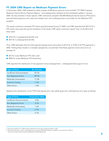## FY 2004 CMS Report on Medicare Payment Errors

In December 2004, CMS released its latest analysis of Medicare payment errors entitled "FY 2004 Improper Medicare Fee-for-Service Payment Report," and subsequently released its first scheduled update in January 2005. As documented in these reports, CMS contractors sampled 160,000 Medicare fee-for-service (FFS) claims and estimated payment error rates and related over- and underpayments to providers for the Medicare FFS program.

The study contractors reviewed FFS claims paid (primarily) during CY 2003, and CMS reported that \$213.5 B in FFS claims were paid during the timeframe of the study. CMS study contractors report<sup>4</sup> that, of the \$213.5 B, there were:

- \$18.4 B in overpayments (8.6%); and
- \$0.9 B in underpayments (0.4%).

Thus, CMS estimates that the total payment (gross) errors amounted to \$19.3 B, or 9.0% of all FFS payments in 2003. Putting these results in a broader perspective, we estimate<sup>5</sup> that these payment errors amount to an average of:

- \$23 for every Medicare FFS claim; and
- \$600 for every Medicare FFS beneficiary.

CMS reported the distribution of net payment errors (overpayments - underpayments) by type of error:

| <b>Type of Error</b>         | % of Errors |
|------------------------------|-------------|
| Insufficient Documentation   | 43.7%       |
| Non-Response Errors          | 29.7%       |
| <b>Medically Unnecessary</b> | 17.2%       |
| <b>Incorrect Coding</b>      | 7.7%        |
| Other Frrors                 | 1.6%        |

Applying this distribution to the 9.0% total (gross) error rate yields gross error estimates by error type as follows:

| <b>Type of Error</b>         | <b>Gross Error Rate</b> |
|------------------------------|-------------------------|
| Insufficient Documentation   | 4.0%                    |
| Non-Response Errors          | 2.7%                    |
| <b>Medically Unnecessary</b> | 1.6%                    |
| <b>Incorrect Coding</b>      | 0.7%                    |
| <b>Other Errors</b>          | 0.1%                    |

<sup>4</sup> January 05 Update to FY 2004 Improper Medicare Fee-for-Service Payment Report, CMS.

<sup>5</sup> Estimated using claim volume and beneficiary counts from CMS 2004 Statistics, available for download from CMS at www.cms.hhs.gov/researchers/pubs/CMSstatistics/2004CMSstat.pdf.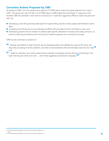## Corrective Actions Proposed by CMS

According to CMS, one of its performance goals for FY 2004 was to reduce the gross payment error rate to 5.6%.6 The gross error rate of 9.0% in its FY 2004 report is 60% higher than that target. In response to this shortfall, CMS has decided to work with its contractors to "implement aggressive efforts to lower the paid error rate" by:7

- Developing a tool that generates state-specific hospital billing reports to help analyze administrative claims data;
- Increasing and refining one-on-one educational efforts with providers found to be billing in error; and
- Developing projects with its vendors to address state-specific admissions necessity and coding concerns, as well as conducting surveillance and monitoring of inpatient payment error trends by error type.

CMS has also directed its vendors to:<sup>8</sup>

- **<sup>66</sup>**...develop local efforts to lower the error rate by developing plans that address the cause of the errors, the steps they are taking to fix the problems, and other recommendations that will ultimately lower the error rate;**"** and
- **"**…target for education and claims review those medically unnecessary services that are contributing to the high national paid claims error rate … and initiate aggressive educational campaigns.**"**

7 Ibid.

<sup>6</sup> FY 2004 Improper Medicare Fee-For-Service Payment Report, p. iv.

<sup>8</sup> FY 2004 Improper Medicare Fee-For-Service Payment Report, p. v.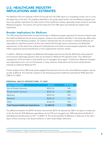## U.S. HEALTHCARE INDUSTRY IMPLICATIONS AND ESTIMATES

The Medicare FFS error estimate of \$19.3 B annually from the CMS report is a compelling number, but it is only the beginning of the story. The problems identified in this study extend further into the Medicare program and have even greater implications for other sectors of the healthcare industry, especially private insurance and state Medicaid programs. This section will use the results from the CMS report and estimate the system-wide implications.

## Broader Implications for Medicare

The CMS study described earlier focused exclusively on Medicare program payments for services covered under the traditional Medicare fee-for-service program. However, the problems identified in this study also affect other dimensions of the Medicare program. For instance, beneficiaries who are enrolled in traditional Medicare are responsible for significant portions of their own medical bills through various coinsurance and deductible requirements. To the extent that coding and reimbursement errors lead to excess program payments, they also inflate copayments paid by beneficiaries or their supplemental insurance carriers.

In addition, Medicare managed care (Medicare Advantage) payments are directly affected by these payment errors because Advantage payment rates are set based on Medicare FFS payment levels. Thus, Medicare's overpayment of FFS providers is built directly into its managed care program. Furthermore, Medicare managed care organizations are in turn at risk because, in many instances, these plans use the same reimbursement methods as traditional Medicare FFS.

Further analysis of the CMS study results suggests that payment errors for the entire Medicare program may be as high as \$30.4 B. This estimate is based on the following personal healthcare expenditures (PHE) data from CMS for CY 2003 $^{\circ}$ :

| <b>Type of Expenditure</b>                    | Amount      | % of Total |
|-----------------------------------------------|-------------|------------|
| Out-of-Pocket Payments                        | \$230.5 B   | 16%        |
| Private Health Insurance                      | \$518.7 B   | 36%        |
| Medicare                                      | \$274.9 B   | 19%        |
| Medicaid                                      | \$248.5 B   | 17%        |
| Other                                         | \$168.2 B   | 12%        |
| <b>Total Personal Healthcare Expenditures</b> | \$1,440.8 B | 100%       |

#### PERSONAL HEALTH EXPENDITURES, CY 2003

The difference between the \$274.9 B shown here and the \$213.5 B reported by CMS in its report is mostly due to the fact that the PHE Medicare expenditures are for FFS and managed care. CMS estimates that 86.6% of total Medicare benefits paid are FFS<sup>10</sup>, or \$238.1 B. The remaining \$24.6 B difference is likely due to the claim lag for claims occurring in the study timeframe, or other study design restrictions.

<sup>9</sup> Available for download from CMS at http://www.cms.hhs.gov/statistics/nhe/historical/t9.asp.

<sup>10</sup> From CMS 2004 Statistics, available for download from CMS at www.cms.hhs.gov/researchers/pubs/CMSstatistics/2004CMSstat.pdf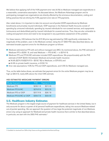We believe that applying half of the 9.0% payment error rate (4.5%) to Medicare managed care expenditures is a reasonable, conservative assumption. As discussed above, the Medicare Advantage program and its participating managed care organizations are directly affected by the erroneous documentation, coding and billing practices that are driving the 9.0% payment error rate on FFS payments.

Also noted above, it is important to take into account out-of-pocket (OOP) expenditures by Medicare beneficiaries and privately insured individuals. OOP expenses in the National Health Accounts consist of spending by uninsured individuals, spending by insured individuals for non-covered services, and copayments (coinsurance and deductibles) paid by insured individuals for covered services. Thus, they are also vulnerable to coding and payment errors and need to be recognized in any quantitative assessment of this problem.

For these reasons, HSS believes that the \$19.3B price tag estimated by CMS significantly understates the magnitude of the problem, even in the Medicare context. Using the CY 2003 PHE data described above, we estimated broader payment errors for the Medicare program as follows:

- Medicare estimated as FFS with and without managed care (MC): As mentioned above, the PHE estimate of Medicare FFS is \$238.1 B, and total Medicare — FFS & MC — is \$274.9 B.
- Medicare FFS and FFS & MC estimates included OOP expenditures: We proportionately split the PHE estimate of OOP (\$230.5 B) between Medicare and private health insurance:
	- 34.6% (\$274.9 B/(\$274.9 B + \$518.7 B)) to Medicare, or \$79.8 B; and
	- 65.4% to private health insurance, or \$150.7 B.
- Error rate assumptions: 9.0% for FFS and OOP expenditures, and 4.5% for Medicare managed care.

Thus, as the table below shows, we estimate that payment errors for the entire Medicare program may be as high as \$30.4 B, nearly 60% above the initial CMS estimate.

| Model Scenario          | PHE.      | <b>Payment Errors</b> |
|-------------------------|-----------|-----------------------|
| Medicare FFS            | \$238.1 B | \$21.5 B              |
| Medicare FFS & MC       | \$274.9 B | \$23.2 B              |
| Medicare FFS w/ OOP     | \$317.9 B | \$28.7 B              |
| Medicare FFS & MC w/OOP | \$354.7 B | \$30.4 B              |

#### HSS ESTIMATED MEDICARE PAYMENT ERRORS

### U.S. Healthcare Industry Estimates

The Medicare program is the largest single source of payment for healthcare services in the United States, but it only accounts for about a quarter of all personal healthcare expenditures, taking into account Medicare-related out-of-pocket spending. We can approach the question of how large the potential magnitude of non-Medicare errors is by using an approach for Medicaid and private health insurance that is similar to that described above. In particular, we start with the 2003 PHE estimates:<sup>11</sup>

<sup>11</sup> Available for download from CMS at http://www.cms.hhs.gov/statistics/nhe/historical/t9.asp.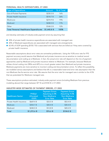#### PERSONAL HEALTH EXPENDITURES, CY 2003

| <b>Type of Expenditure</b>                    | <b>Amount</b> | % of Total |
|-----------------------------------------------|---------------|------------|
| Out-of-Pocket Payments                        | \$230.5 B     | 16%        |
| Private Health Insurance                      | \$518.7 B     | 36%        |
| Medicare                                      | \$274.9 B     | 19%        |
| Medicaid                                      | \$248.5 B     | 17%        |
| Other                                         | \$168.2 B     | 12%        |
| <b>Total Personal Healthcare Expenditures</b> | \$1,440.8 B   | 100%       |

and develop estimates of industry-wide payment errors by assuming that:

- 30% of private health insurance expenditures are associated with managed care
- 20% of Medicaid expenditures are associated with managed care arrangements
- 65.4% of OOP spending (\$150.7 B) is associated with services that are billed as if they were covered by private health insurance

Reasonable assumptions about error rates are somewhat problematic. Using the 9.0% error rate for FFS payment accuracy would assume that Medicaid and private insurance are as sensitive to medical record documentation and coding as is Medicare. In fact, the actual error rate will depend on the mix of payment approaches used by Medicaid and private insurance relative to Medicare. For example, because Medicare utilizes clinical coding into DRGs and APCs to a much greater extent than Medicaid and private insurance, Medicare payments are more sensitive to incorrect coding and documentation errors. To reflect this possibility, we modeled various assumptions and believe that 6% is a reasonable lower-end error rate assumption than the non-Medicare fee-for-service error rate. We assume that the error rate for managed care is similar to the 4.5% that we postulated for Medicare managed care.

These assumptions produce estimated, industry-wide payment errors (including Medicare from previous modeling above) that range between \$77 B and \$104 B in CY 2003:

| <b>Healthcare Sector</b> | PHE(w/<br>Allocated<br>OOP) | <b>Payment Errors</b><br>Assuming 6.0%<br><b>Non-Medicare</b><br><b>Error Rate</b> | <b>Payment Errors</b><br><b>Assuming 9.0%</b><br><b>Non-Medicare</b><br><b>Error Rate</b> |
|--------------------------|-----------------------------|------------------------------------------------------------------------------------|-------------------------------------------------------------------------------------------|
| Private Health Insurance | \$669.4 B                   | \$33.5 B                                                                           | \$53.4 B                                                                                  |
| Medicare                 | \$354.7 B                   | \$30.4 B                                                                           | \$30.4 B                                                                                  |
| Medicaid                 | \$248.5 B                   | \$12.8 B                                                                           | \$20.2 B                                                                                  |
| <b>Total</b>             | \$1,272.6 B                 | \$76.6 B                                                                           | \$104.0 B                                                                                 |

#### INDUSTRY-WIDE ESTIMATES OF PAYMENT ERRORS, CY 2003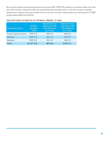We can also project industry-wide payment errors using CMS' 2005 PHE projections. As shown below, the more than 15% increase in personal health care expenditures that has taken place in the last two years translates directly into increases in the cost of these errors to the U.S. economy. Industry-wide error estimates for CY 2005 range between \$88 B and \$120 B:

| <b>Healthcare Sector</b> | PHE(w/<br>Allocated<br>OOP) | <b>Payment Errors</b><br>Assuming 6.0%<br><b>Non-Medicare</b><br><b>Error Rate</b> | <b>Payment Errors</b><br><b>Assuming 9.0%</b><br><b>Non-Medicare</b><br><b>Error Rate</b> |
|--------------------------|-----------------------------|------------------------------------------------------------------------------------|-------------------------------------------------------------------------------------------|
| Private Health Insurance | \$787.0 B                   | \$39.3 B                                                                           | \$62.8 B                                                                                  |
| Medicare                 | \$387.1 B                   | \$33.1 B                                                                           | \$33.1 B                                                                                  |
| Medicaid                 | \$297.8 B                   | \$15.3 B                                                                           | \$24.2 B                                                                                  |
| <b>Total</b>             | \$1,471.9 B                 | \$87.8 B                                                                           | \$120.1 B                                                                                 |

#### INDUSTRY-WIDE ESTIMATES OF PAYMENT ERRORS, CY 2005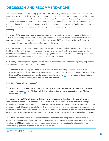# DISCUSSION AND RECOMMENDATIONS

The economic implications of these payment errors are far-reaching. Overpayments undermine the financial integrity of Medicare, Medicaid, and private insurance carriers; while underpayments compromise the bottom line of organizations that provide care. In the end, the losses from overpayments and underpayments increase the cost of care. Eventually, these increases affect American businesses by forcing them to pay insurance premiums that are higher than necessary to provide health coverage for employees. Finally, consumers are hurt by higher premiums, which reduce take-home pay, and larger deductibles, which decrease discretionary spending.

For its part, CMS recognizes that changes are necessary in the Medicare program. In response to its annual \$20 B payment error problem, CMS has proposed a series of "corrective actions" as discussed above. But narrowly focusing on Medicare, and ignoring the industry-wide \$100 B implications of these findings, is dangerously short-sighted and points to a key factor in this crisis.

CMS consistently ignores the enormous impact that its policy decisions and regulations have on the entire healthcare industry. CMS also does not seem to understand the operational challenges it creates on the healthcare system through the administration of its programs and how those challenges multiply when other payers follow Medicare policies in their own contracting and operations.

CMS readily acknowledges this myopia. For example, in response to public comments regarding its proposed Medicare DRG changes for FY 2005, CMS stated that:12

**"**Our mission in maintaining the Medicare DRGs is to serve the Medicare population… However, we acknowledge the Medicare DRGs are sometimes used to classify other patient populations. [But, we] advise those non-Medicare systems that need a more up-to-date system to choose from other systems that are currently in use in the country, or to develop their own modifications.**"**

In its final FY 2005 rule, CMS added:<sup>13</sup>

**<sup>66</sup>** Decisions about the use of DRGs in Medicaid are made by the states. As we stated previously, the primary focus of our updates to the Medicare DRG classification system is on changes relating to the Medicare patient population.**"**

It is unfortunate that CMS fails to acknowledge or take into account in its policy deliberations the fact that Medicare DRGs are the "gold standard" in the industry today for casemix-adjusting inpatient discharge payments to hospitals. Not only do many private insurers and state Medicaid programs use Medicare DRGs for payment, these DRGs are the linchpin for much of the utilization, cost, and quality review analyses used in the healthcare industry. Thus, like it or not, DRGs are at the center of the healthcare system's operational efficiency — from medical record documentation, coding, and billing to quality, compliance, cost, and utilization review.

The DRG classification system is but one of many areas where the Medicare program administration defines the operational rules in the industry today. The complexity and clarity of the Medicare system, and the process and timeliness of CMS updates to the system, have a direct impact on the operational challenges faced by essentially all payers and providers in the healthcare industry.

<sup>12</sup> Federal Register, Vol. 69, No. 96, p. 28210.

<sup>13</sup> Federal Register, Vol. 69, No. 154, p. 48971.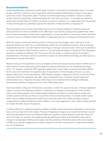## Recommendations

Overhauling Medicare and America's health system has been a hot political and ideological topic for the past decade. And there continues to be an expectation that technological implementations will go a long way to correct this nation's ailing health system. However, the technologies being considered - electronic medical records, electronic prescribing, computerized physician order entry, and others - are complex and expensive systems that will take billions of dollars to purchase and years to implement on a nationwide scale. The benefits of these technologies are potentially huge but the realization of these benefits is a long way off.

More importantly, many of these technological solutions do not directly address the medical coding and reimbursement errors that are identified in the CMS report, much less the industry-wide problems they reflect. Even if these technological solutions were implemented in a timely and efficient manner, the industry would still continue to rack up hundreds of billions of dollars in losses each year due to coding and reimbursement errors.

While the industry is enamored with the promise of exciting new technologies, there is little focus on the decaying infrastructure within the core administrative systems at most healthcare providers. Twenty years ago hospitals replaced their core administrative technology, on average, every seven years. That cycle has stretched to 10 years and beyond. Many hospitals continue to use technology developed in the 60s and 70s. Managing a business as complex as healthcare with 10-plus year old technology is a recipe for exactly the problems discussed herein. Providing incentives to providers to adopt new administrative technology at a faster pace is a prerequisite to solving this problem.

Medical coding and reimbursement errors are tangible problems that require practical solutions. While some of these solutions may be supported by technology, the solutions themselves are not necessarily technologydriven. For example, revising the CMS regulatory update cycle to give health insurers and providers sufficient time to react and implement new regulations that change dozens of times throughout the year is a policy decision rather than a technology decision. CMS' frequent changes to regulations, and the minimal time that is often given before the regulations take effect, plays a substantial role in increasing medical coding and reimbursement errors. Hospitals and payers alike simply cannot assimilate the knowledge to effectively operationalize regulatory changes given the current CMS update policy.

Improving medical coding and reimbursement processes is another key opportunity area. Confusing regulations create an incentive for healthcare providers to undercode as a strategy to avoid rejection of their medical claims, which delays payment. This strategy enables healthcare providers to receive payment quicker and maintain positive cash flow, yet they are not paid for all the care that they deliver. In contrast, health insurers need a way to validate and group the medical claims that they receive from health providers to prevent overpayments to health providers that make mistakes, or are overly aggressive in their medical coding practices to increase the dollar amount of payments.

Increasing efficiency in deploying regulatory updates at health insurers and provider organizations is becoming more and more important to the industry. The pace of regulatory changes has increased dramatically in recent years and organizations that do not efficiently deploy the regulatory content greatly increase their chance of errors and losses. For example, the update process typically poses a dilemma for hospitals as they wait for changes to be deployed. Holding claims causes cash flow problems, while billing claims with errors increases workflow (e.g., denials management) and raises compliance risk. Both scenarios serve to significantly increase the cost of healthcare.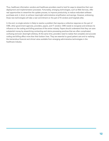Thus, healthcare information vendors and healthcare providers need to look for ways to streamline their own deployment and implementation processes. Fortunately, emerging technologies, such as Web Services, offer real opportunities to streamline the update process, to improve productivity, to reduce redundant software purchases and, in short, to achieve meaningful administrative simplification and savings. However, embracing those new technologies will take a real commitment on the part of IS vendors and hospitals alike.

In the end, no single solution is likely to resolve a problem that requires a collective response on the part of CMS, other government agencies, providers, payers, and IT vendors. CMS needs to recognize and embrace its influence on the coding and billing practices of the entire industry. Payers should understand that they can save substantial money by streamlining contracting and claims processing practices that are often complicated, confusing and even downright arbitrary. At the same time, providers need to realize that complete and accurate coding and billing affect more than their bottom lines. They are essential to good patient care and to realizing the tremendous financial and clinical value available from emerging administrative technologies in the healthcare industry.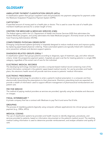# **GLOSSARY**

#### AMBULATORY PAYMENT CLASSIFICATION GROUPS (APCs)

A classification system that groups outpatient visits and procedures into payment categories for payment under the Medicare Outpatient Prospective Payment System (OPPS).

#### CAPITATION \*

A specified amount of money paid to a health plan or doctor. This is used to cover the cost of a health plan member's healthcare services for a certain length of time.

#### CENTERS FOR MEDICARE & MEDICAID SERVICES (CMS)

The federal agency within the U.S. Department of Health and Human Services (HSS) that administers the Federal Medicare program, and jointly administers the State Medicaid program. (Formerly known as the Health Care Financing Administration (HCFA)).

#### COMPUTERIZED PHYSICIAN ORDER ENTRY

Emerging computerized systems (primarily in hospitals) designed to reduce medical errors and improve quality by replacing paper-based physician ordering. These automated systems are typically linked with medication error prevention software and decision-support systems.

#### DIAGNOSIS-RELATED GROUPS (DRGs) \*

A classification system that groups patients according to diagnosis, type of treatment, age, and other relevant criteria. Under the prospective payment system, hospitals are paid a set fee for treating patients in a single DRG category, regardless of the actual cost of care for the individual.

#### ELECTRONIC MEDICAL RECORDS

The developing technology intended to provide a computer-based medical record containing most of the clinical information contained in the patients' paper-based medical records. For use by providers and health plans, this electronic health record will provide real-time access to patients' medical information.

#### ELECTRONIC PRESCRIBING

The developing technology for providers to enter a patient's medical prescription in a computer and then electronically transmitting the prescriptions to their pharmacist. Electronic prescribing tools are expected to provide a wealth of information used to support efficient management of pharmaceutical reimbursement and patient care.

#### FEE FOR SERVICE

The method of paying medical providers as services are provided, typically using fee schedules and discounts on charges.

#### FISCAL INTERMEDIARY \*

A private company that has a contract with Medicare to pay Part A and some Part B bills.

#### GROUPING

The process of classifying patients (typically using computer software applications) into clinical groups used for payment (e.g., DRGs, APCs).

#### MEDICAL CODING

The use of classification systems by providers and health insurers to identify diagnoses, procedures, and services provided to patients, based on information documented on the patient's medical record. The resulting medical coding information is used to determine provider reimbursement, and analyze utilization and quality of care.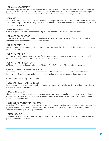#### MEDICALLY NECESSARY \*

Services or supplies that: are proper and needed for the diagnosis or treatment of your medical condition, are provided for the diagnosis, direct care, and treatment of your medical condition, meet the standards of good medical practice in the local area, and aren't mainly for the convenience of you or your doctor.

#### MEDICARE \*

Medicare is the national health insurance program for: people age 65 or older, some people under age 65 with disabilities, and people with end-stage renal disease (ESRD), which is permanent kidney failure requiring dialysis or a kidney transplant.

#### MEDICARE BENEFICIARY

One of roughly 40 million Americans receiving medical benefits under the Medicare program.

#### MEDICARE CONTRACTOR \*

A Medicare Part A Fiscal Intermediary (institutional), a Medicare Part B Carrier (professional), or a Medicare Durable Medical Equipment Regional Carrier (DMERC).

#### MEDICARE PART A \*

Hospital insurance that pays for inpatient hospital stays, care in a skilled nursing facility, hospice care, and some home health care.

#### MEDICARE PART B \*

Medicare medical insurance that helps pay for doctors' services, outpatient hospital care, durable medical equipment, and some medical services that aren't covered by Part A.

#### MEDICARE PART B CARRIER \*

A Medicare contractor that administers the Medicare Part B (Professional) benefits for a given region.

#### OFFICE OF INSPECTOR GENERAL (OIG)

The Federal agency within the U.S. Department of Health and Human Services (HHS) responsible for the integrity of HHS programs, as well as the health and welfare of the beneficiaries of those programs.

#### OVERCODED — see upcoded claims

#### PERSONAL HEALTH EXPENDITURES

Direct consumption of healthcare goods and services provided by hospitals, physicians, and other suppliers of medical care services and equipment.

#### PRIVATE INSURANCE

Non-governmental (commercial) health insurance purchased by employers for their employees, or purchased directly by consumers. Also includes supplemental insurance purchased to pay for services not fully covered by government insurance programs.

#### PROSPECTIVE PAYMENT SYSTEM (PPS) \*

A method of reimbursement in which Medicare payment is made based on a predetermined, fixed amount. The payment amount for a particular service is derived based on the classification system of that service (for example, DRGs for inpatient hospital services).

#### REIMBURSEMENT

Payments made to providers by insurance programs (government and commercial) to pay for medical services provided to their beneficiaries.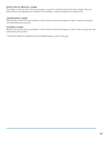#### REJECTION OF MEDICAL CLAIMS

The refusal, on the part of an insurance program, to pay for a medical claim due to the providers' failure to follow billing rules regarding, for example, documentation, medical necessity, and coding errors.

#### UNDERCODED CLAIMS

Medical claims where the documentation in the medical record would support a higher medical coding than was submitted by the provider.

#### UPCODED CLAIMS

Medical claims where the documentation in the medical record would support a lower medical coding than was submitted by the provider.

\* Centers for Medicare & Medicaid Services (CMS) website, www.cms.hhs.gov.